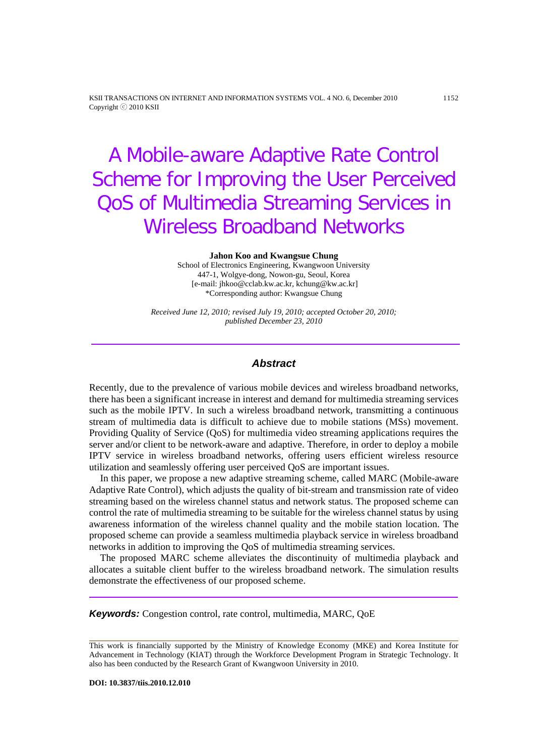KSII TRANSACTIONS ON INTERNET AND INFORMATION SYSTEMS VOL. 4 NO. 6, December 2010 1152 Copyright ⓒ 2010 KSII

# A Mobile-aware Adaptive Rate Control Scheme for Improving the User Perceived QoS of Multimedia Streaming Services in Wireless Broadband Networks

**Jahon Koo and Kwangsue Chung**

School of Electronics Engineering, Kwangwoon University 447-1, Wolgye-dong, Nowon-gu, Seoul, Korea [e-mail: jhkoo@cclab.kw.ac.kr, kchung@kw.ac.kr] \*Corresponding author: Kwangsue Chung

*Received June 12, 2010; revised July 19, 2010; accepted October 20, 2010; published December 23, 2010*

## *Abstract*

Recently, due to the prevalence of various mobile devices and wireless broadband networks, there has been a significant increase in interest and demand for multimedia streaming services such as the mobile IPTV. In such a wireless broadband network, transmitting a continuous stream of multimedia data is difficult to achieve due to mobile stations (MSs) movement. Providing Quality of Service (QoS) for multimedia video streaming applications requires the server and/or client to be network-aware and adaptive. Therefore, in order to deploy a mobile IPTV service in wireless broadband networks, offering users efficient wireless resource utilization and seamlessly offering user perceived QoS are important issues.

In this paper, we propose a new adaptive streaming scheme, called MARC (Mobile-aware Adaptive Rate Control), which adjusts the quality of bit-stream and transmission rate of video streaming based on the wireless channel status and network status. The proposed scheme can control the rate of multimedia streaming to be suitable for the wireless channel status by using awareness information of the wireless channel quality and the mobile station location. The proposed scheme can provide a seamless multimedia playback service in wireless broadband networks in addition to improving the QoS of multimedia streaming services.

The proposed MARC scheme alleviates the discontinuity of multimedia playback and allocates a suitable client buffer to the wireless broadband network. The simulation results demonstrate the effectiveness of our proposed scheme.

*Keywords:* Congestion control, rate control, multimedia, MARC, QoE

This work is financially supported by the Ministry of Knowledge Economy (MKE) and Korea Institute for Advancement in Technology (KIAT) through the Workforce Development Program in Strategic Technology. It also has been conducted by the Research Grant of Kwangwoon University in 2010.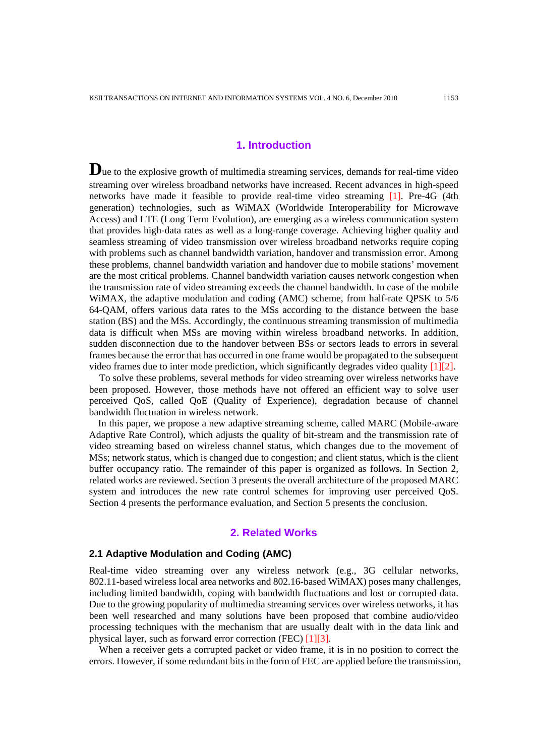# **1. Introduction**

Due to the explosive growth of multimedia streaming services, demands for real-time video streaming over wireless broadband networks have increased. Recent advances in high-speed networks have made it feasible to provide real-time video streaming [1]. Pre-4G (4th generation) technologies, such as WiMAX (Worldwide Interoperability for Microwave Access) and LTE (Long Term Evolution), are emerging as a wireless communication system that provides high-data rates as well as a long-range coverage. Achieving higher quality and seamless streaming of video transmission over wireless broadband networks require coping with problems such as channel bandwidth variation, handover and transmission error. Among these problems, channel bandwidth variation and handover due to mobile stations' movement are the most critical problems. Channel bandwidth variation causes network congestion when the transmission rate of video streaming exceeds the channel bandwidth. In case of the mobile WiMAX, the adaptive modulation and coding (AMC) scheme, from half-rate QPSK to 5/6 64-QAM, offers various data rates to the MSs according to the distance between the base station (BS) and the MSs. Accordingly, the continuous streaming transmission of multimedia data is difficult when MSs are moving within wireless broadband networks. In addition, sudden disconnection due to the handover between BSs or sectors leads to errors in several frames because the error that has occurred in one frame would be propagated to the subsequent video frames due to inter mode prediction, which significantly degrades video quality [1][2].

To solve these problems, several methods for video streaming over wireless networks have been proposed. However, those methods have not offered an efficient way to solve user perceived QoS, called QoE (Quality of Experience), degradation because of channel bandwidth fluctuation in wireless network.

In this paper, we propose a new adaptive streaming scheme, called MARC (Mobile-aware Adaptive Rate Control), which adjusts the quality of bit-stream and the transmission rate of video streaming based on wireless channel status, which changes due to the movement of MSs; network status, which is changed due to congestion; and client status, which is the client buffer occupancy ratio. The remainder of this paper is organized as follows. In Section 2, related works are reviewed. Section 3 presents the overall architecture of the proposed MARC system and introduces the new rate control schemes for improving user perceived QoS. Section 4 presents the performance evaluation, and Section 5 presents the conclusion.

#### **2. Related Works**

## **2.1 Adaptive Modulation and Coding (AMC)**

Real-time video streaming over any wireless network (e.g., 3G cellular networks, 802.11-based wireless local area networks and 802.16-based WiMAX) poses many challenges, including limited bandwidth, coping with bandwidth fluctuations and lost or corrupted data. Due to the growing popularity of multimedia streaming services over wireless networks, it has been well researched and many solutions have been proposed that combine audio/video processing techniques with the mechanism that are usually dealt with in the data link and physical layer, such as forward error correction (FEC) [1][3].

When a receiver gets a corrupted packet or video frame, it is in no position to correct the errors. However, if some redundant bits in the form of FEC are applied before the transmission,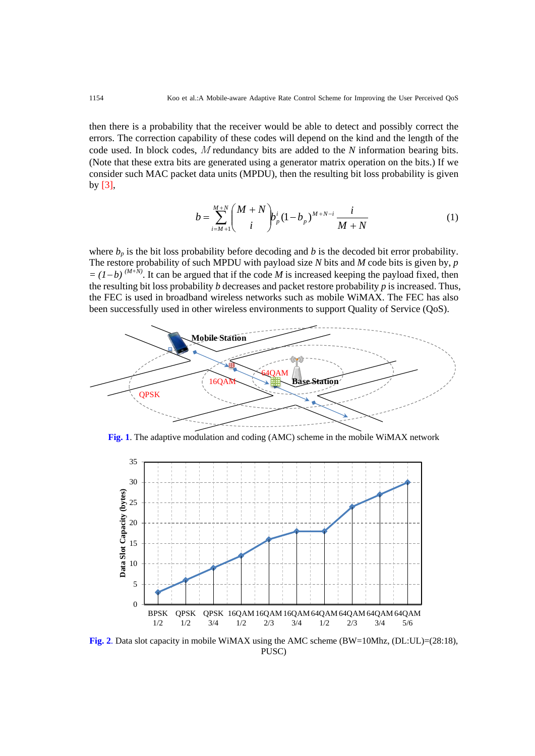then there is a probability that the receiver would be able to detect and possibly correct the errors. The correction capability of these codes will depend on the kind and the length of the code used. In block codes, M redundancy bits are added to the *N* information bearing bits. (Note that these extra bits are generated using a generator matrix operation on the bits.) If we consider such MAC packet data units (MPDU), then the resulting bit loss probability is given by [3],

$$
b = \sum_{i=M+1}^{M+N} {M+N \choose i} b_p^i (1-b_p)^{M+N-i} \frac{i}{M+N}
$$
 (1)

where  $b<sub>p</sub>$  is the bit loss probability before decoding and *b* is the decoded bit error probability. The restore probability of such MPDU with payload size *N* bits and *M* code bits is given by, *p*   $=(1-b)^{(M+\tilde{N})}$ . It can be argued that if the code *M* is increased keeping the payload fixed, then the resulting bit loss probability *b* decreases and packet restore probability *p* is increased. Thus, the FEC is used in broadband wireless networks such as mobile WiMAX. The FEC has also been successfully used in other wireless environments to support Quality of Service (QoS).



**Fig. 1**. The adaptive modulation and coding (AMC) scheme in the mobile WiMAX network



**Fig. 2**. Data slot capacity in mobile WiMAX using the AMC scheme (BW=10Mhz, (DL:UL)=(28:18), PUSC)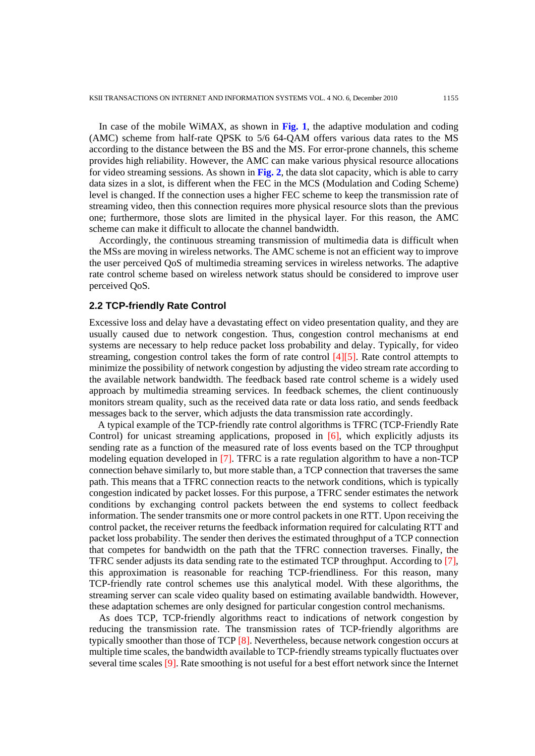In case of the mobile WiMAX, as shown in **Fig. 1**, the adaptive modulation and coding (AMC) scheme from half-rate QPSK to 5/6 64-QAM offers various data rates to the MS according to the distance between the BS and the MS. For error-prone channels, this scheme provides high reliability. However, the AMC can make various physical resource allocations for video streaming sessions. As shown in **Fig. 2**, the data slot capacity, which is able to carry data sizes in a slot, is different when the FEC in the MCS (Modulation and Coding Scheme) level is changed. If the connection uses a higher FEC scheme to keep the transmission rate of streaming video, then this connection requires more physical resource slots than the previous one; furthermore, those slots are limited in the physical layer. For this reason, the AMC scheme can make it difficult to allocate the channel bandwidth.

Accordingly, the continuous streaming transmission of multimedia data is difficult when the MSs are moving in wireless networks. The AMC scheme is not an efficient way to improve the user perceived QoS of multimedia streaming services in wireless networks. The adaptive rate control scheme based on wireless network status should be considered to improve user perceived QoS.

## **2.2 TCP-friendly Rate Control**

Excessive loss and delay have a devastating effect on video presentation quality, and they are usually caused due to network congestion. Thus, congestion control mechanisms at end systems are necessary to help reduce packet loss probability and delay. Typically, for video streaming, congestion control takes the form of rate control  $[4][5]$ . Rate control attempts to minimize the possibility of network congestion by adjusting the video stream rate according to the available network bandwidth. The feedback based rate control scheme is a widely used approach by multimedia streaming services. In feedback schemes, the client continuously monitors stream quality, such as the received data rate or data loss ratio, and sends feedback messages back to the server, which adjusts the data transmission rate accordingly.

A typical example of the TCP-friendly rate control algorithms is TFRC (TCP-Friendly Rate Control) for unicast streaming applications, proposed in [6], which explicitly adjusts its sending rate as a function of the measured rate of loss events based on the TCP throughput modeling equation developed in [7]. TFRC is a rate regulation algorithm to have a non-TCP connection behave similarly to, but more stable than, a TCP connection that traverses the same path. This means that a TFRC connection reacts to the network conditions, which is typically congestion indicated by packet losses. For this purpose, a TFRC sender estimates the network conditions by exchanging control packets between the end systems to collect feedback information. The sender transmits one or more control packets in one RTT. Upon receiving the control packet, the receiver returns the feedback information required for calculating RTT and packet loss probability. The sender then derives the estimated throughput of a TCP connection that competes for bandwidth on the path that the TFRC connection traverses. Finally, the TFRC sender adjusts its data sending rate to the estimated TCP throughput. According to [7], this approximation is reasonable for reaching TCP-friendliness. For this reason, many TCP-friendly rate control schemes use this analytical model. With these algorithms, the streaming server can scale video quality based on estimating available bandwidth. However, these adaptation schemes are only designed for particular congestion control mechanisms.

As does TCP, TCP-friendly algorithms react to indications of network congestion by reducing the transmission rate. The transmission rates of TCP-friendly algorithms are typically smoother than those of TCP [8]. Nevertheless, because network congestion occurs at multiple time scales, the bandwidth available to TCP-friendly streams typically fluctuates over several time scales [9]. Rate smoothing is not useful for a best effort network since the Internet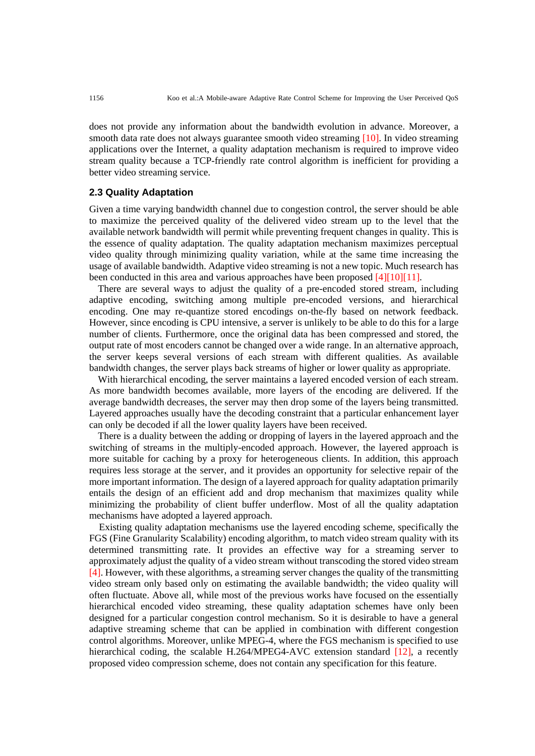does not provide any information about the bandwidth evolution in advance. Moreover, a smooth data rate does not always guarantee smooth video streaming [10]. In video streaming applications over the Internet, a quality adaptation mechanism is required to improve video stream quality because a TCP-friendly rate control algorithm is inefficient for providing a better video streaming service.

# **2.3 Quality Adaptation**

Given a time varying bandwidth channel due to congestion control, the server should be able to maximize the perceived quality of the delivered video stream up to the level that the available network bandwidth will permit while preventing frequent changes in quality. This is the essence of quality adaptation. The quality adaptation mechanism maximizes perceptual video quality through minimizing quality variation, while at the same time increasing the usage of available bandwidth. Adaptive video streaming is not a new topic. Much research has been conducted in this area and various approaches have been proposed [4][10][11].

There are several ways to adjust the quality of a pre-encoded stored stream, including adaptive encoding, switching among multiple pre-encoded versions, and hierarchical encoding. One may re-quantize stored encodings on-the-fly based on network feedback. However, since encoding is CPU intensive, a server is unlikely to be able to do this for a large number of clients. Furthermore, once the original data has been compressed and stored, the output rate of most encoders cannot be changed over a wide range. In an alternative approach, the server keeps several versions of each stream with different qualities. As available bandwidth changes, the server plays back streams of higher or lower quality as appropriate.

With hierarchical encoding, the server maintains a layered encoded version of each stream. As more bandwidth becomes available, more layers of the encoding are delivered. If the average bandwidth decreases, the server may then drop some of the layers being transmitted. Layered approaches usually have the decoding constraint that a particular enhancement layer can only be decoded if all the lower quality layers have been received.

There is a duality between the adding or dropping of layers in the layered approach and the switching of streams in the multiply-encoded approach. However, the layered approach is more suitable for caching by a proxy for heterogeneous clients. In addition, this approach requires less storage at the server, and it provides an opportunity for selective repair of the more important information. The design of a layered approach for quality adaptation primarily entails the design of an efficient add and drop mechanism that maximizes quality while minimizing the probability of client buffer underflow. Most of all the quality adaptation mechanisms have adopted a layered approach.

Existing quality adaptation mechanisms use the layered encoding scheme, specifically the FGS (Fine Granularity Scalability) encoding algorithm, to match video stream quality with its determined transmitting rate. It provides an effective way for a streaming server to approximately adjust the quality of a video stream without transcoding the stored video stream [4]. However, with these algorithms, a streaming server changes the quality of the transmitting video stream only based only on estimating the available bandwidth; the video quality will often fluctuate. Above all, while most of the previous works have focused on the essentially hierarchical encoded video streaming, these quality adaptation schemes have only been designed for a particular congestion control mechanism. So it is desirable to have a general adaptive streaming scheme that can be applied in combination with different congestion control algorithms. Moreover, unlike MPEG-4, where the FGS mechanism is specified to use hierarchical coding, the scalable H.264/MPEG4-AVC extension standard [12], a recently proposed video compression scheme, does not contain any specification for this feature.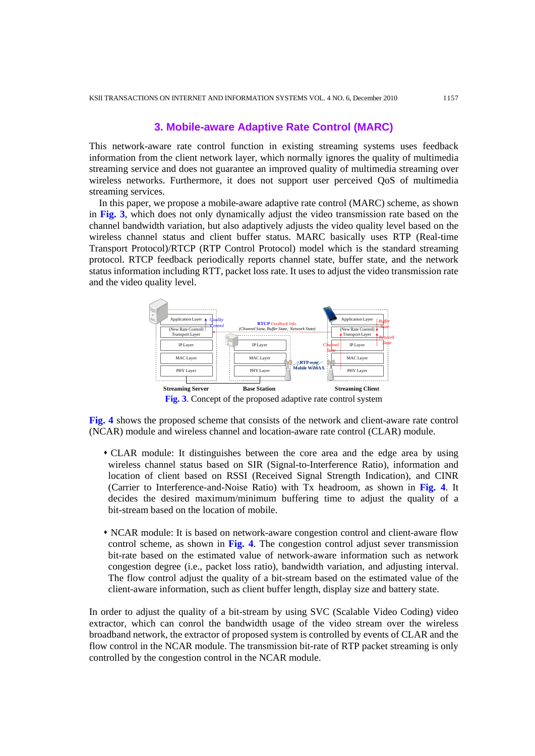# **3. Mobile-aware Adaptive Rate Control (MARC)**

This network-aware rate control function in existing streaming systems uses feedback information from the client network layer, which normally ignores the quality of multimedia streaming service and does not guarantee an improved quality of multimedia streaming over wireless networks. Furthermore, it does not support user perceived QoS of multimedia streaming services.

In this paper, we propose a mobile-aware adaptive rate control (MARC) scheme, as shown in **Fig. 3**, which does not only dynamically adjust the video transmission rate based on the channel bandwidth variation, but also adaptively adjusts the video quality level based on the wireless channel status and client buffer status. MARC basically uses RTP (Real-time Transport Protocol)/RTCP (RTP Control Protocol) model which is the standard streaming protocol. RTCP feedback periodically reports channel state, buffer state, and the network status information including RTT, packet loss rate. It uses to adjust the video transmission rate and the video quality level.



**Fig. 4** shows the proposed scheme that consists of the network and client-aware rate control (NCAR) module and wireless channel and location-aware rate control (CLAR) module.

- CLAR module: It distinguishes between the core area and the edge area by using wireless channel status based on SIR (Signal-to-Interference Ratio), information and location of client based on RSSI (Received Signal Strength Indication), and CINR (Carrier to Interference-and-Noise Ratio) with Tx headroom, as shown in **Fig. 4**. It decides the desired maximum/minimum buffering time to adjust the quality of a bit-stream based on the location of mobile.
- NCAR module: It is based on network-aware congestion control and client-aware flow control scheme, as shown in **Fig. 4**. The congestion control adjust sever transmission bit-rate based on the estimated value of network-aware information such as network congestion degree (i.e., packet loss ratio), bandwidth variation, and adjusting interval. The flow control adjust the quality of a bit-stream based on the estimated value of the client-aware information, such as client buffer length, display size and battery state.

In order to adjust the quality of a bit-stream by using SVC (Scalable Video Coding) video extractor, which can conrol the bandwidth usage of the video stream over the wireless broadband network, the extractor of proposed system is controlled by events of CLAR and the flow control in the NCAR module. The transmission bit-rate of RTP packet streaming is only controlled by the congestion control in the NCAR module.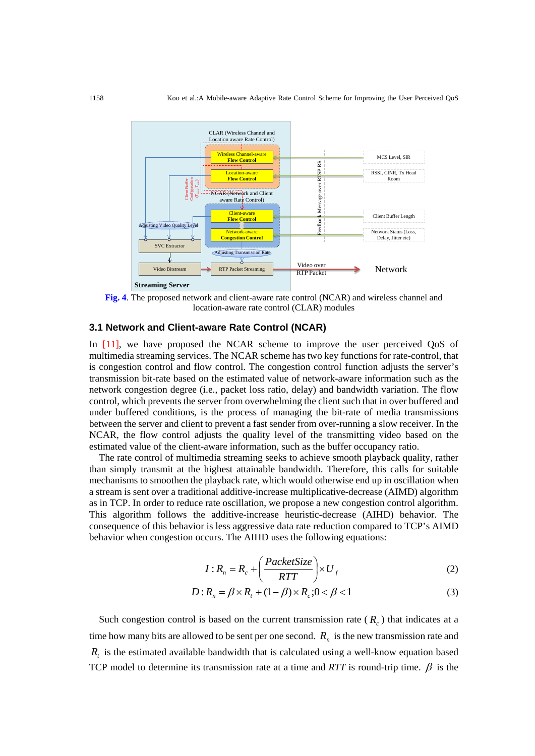

**Fig. 4**. The proposed network and client-aware rate control (NCAR) and wireless channel and location-aware rate control (CLAR) modules

#### **3.1 Network and Client-aware Rate Control (NCAR)**

In [11], we have proposed the NCAR scheme to improve the user perceived QoS of multimedia streaming services. The NCAR scheme has two key functions for rate-control, that is congestion control and flow control. The congestion control function adjusts the server's transmission bit-rate based on the estimated value of network-aware information such as the network congestion degree (i.e., packet loss ratio, delay) and bandwidth variation. The flow control, which prevents the server from overwhelming the client such that in over buffered and under buffered conditions, is the process of managing the bit-rate of media transmissions between the server and client to prevent a fast sender from over-running a slow receiver. In the NCAR, the flow control adjusts the quality level of the transmitting video based on the estimated value of the client-aware information, such as the buffer occupancy ratio.

The rate control of multimedia streaming seeks to achieve smooth playback quality, rather than simply transmit at the highest attainable bandwidth. Therefore, this calls for suitable mechanisms to smoothen the playback rate, which would otherwise end up in oscillation when a stream is sent over a traditional additive-increase multiplicative-decrease (AIMD) algorithm as in TCP. In order to reduce rate oscillation, we propose a new congestion control algorithm. This algorithm follows the additive-increase heuristic-decrease (AIHD) behavior. The consequence of this behavior is less aggressive data rate reduction compared to TCP's AIMD behavior when congestion occurs. The AIHD uses the following equations:

$$
I: R_n = R_c + \left(\frac{PacketSize}{RTT}\right) \times U_f
$$
 (2)

$$
D: R_n = \beta \times R_t + (1 - \beta) \times R_c; 0 < \beta < 1
$$
 (3)

Such congestion control is based on the current transmission rate  $(R<sub>a</sub>)$  that indicates at a time how many bits are allowed to be sent per one second.  $R<sub>n</sub>$  is the new transmission rate and *R<sub>t</sub>* is the estimated available bandwidth that is calculated using a well-know equation based TCP model to determine its transmission rate at a time and *RTT* is round-trip time. β is the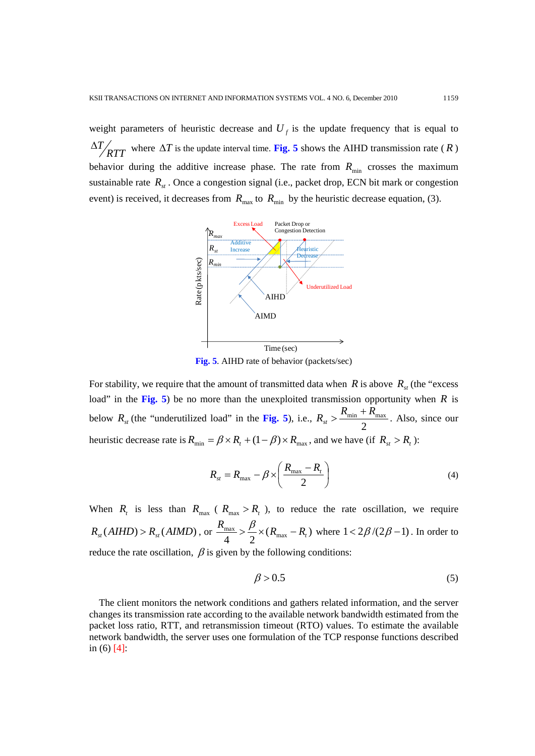weight parameters of heuristic decrease and  $U_f$  is the update frequency that is equal to  $\Delta T/RT$  where  $\Delta T$  is the update interval time. **Fig.** 5 shows the AIHD transmission rate (*R*) behavior during the additive increase phase. The rate from  $R_{\text{min}}$  crosses the maximum sustainable rate  $R_{st}$ . Once a congestion signal (i.e., packet drop, ECN bit mark or congestion event) is received, it decreases from  $R_{\text{max}}$  to  $R_{\text{min}}$  by the heuristic decrease equation, (3).



**Fig. 5**. AIHD rate of behavior (packets/sec)

For stability, we require that the amount of transmitted data when *R* is above  $R_{st}$  (the "excess") load" in the **Fig. 5**) be no more than the unexploited transmission opportunity when *R* is below  $R_{st}$  (the "underutilized load" in the **Fig.** 5), i.e.,  $R_{st} > \frac{R_{min} + R_{max}}{2}$ . Also, since our heuristic decrease rate is  $R_{\min} = \beta \times R_t + (1 - \beta) \times R_{\max}$ , and we have (if  $R_{st} > R_t$ ):

$$
R_{st} = R_{\text{max}} - \beta \times \left(\frac{R_{\text{max}} - R_t}{2}\right) \tag{4}
$$

When  $R_t$  is less than  $R_{\text{max}}$  ( $R_{\text{max}} > R_t$ ), to reduce the rate oscillation, we require  $R_{st}(AIHD) > R_{st}(AIMD)$ , or  $\frac{R_{\text{max}}}{4} > \frac{\beta}{2} \times (R_{\text{max}} - R_t)$  where  $1 < 2\beta/(2\beta - 1)$ . In order to reduce the rate oscillation,  $\beta$  is given by the following conditions:

$$
\beta > 0.5\tag{5}
$$

The client monitors the network conditions and gathers related information, and the server changes its transmission rate according to the available network bandwidth estimated from the packet loss ratio, RTT, and retransmission timeout (RTO) values. To estimate the available network bandwidth, the server uses one formulation of the TCP response functions described in (6) [4]: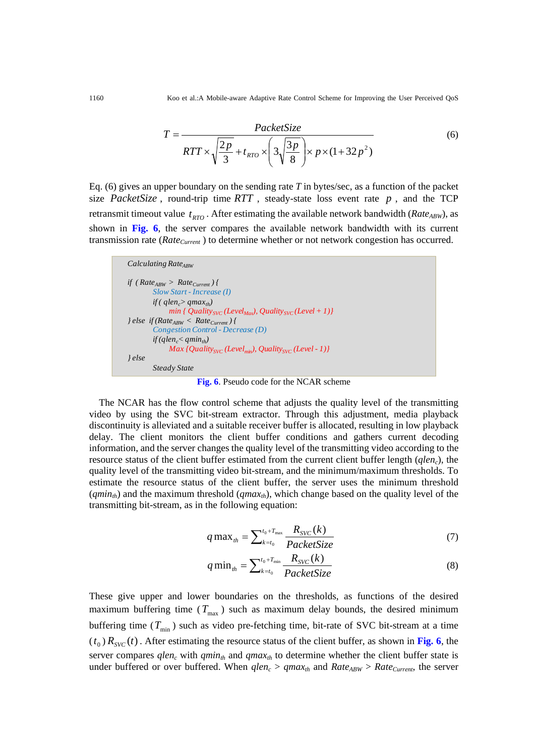$$
T = \frac{PacketSize}{RTT \times \sqrt{\frac{2p}{3}} + t_{RTO} \times \left(3\sqrt{\frac{3p}{8}}\right) \times p \times (1+32p^2)}
$$
(6)

Eq. (6) gives an upper boundary on the sending rate *T* in bytes/sec, as a function of the packet size *PacketSize*, round-trip time  $RTT$ , steady-state loss event rate  $p$ , and the TCP retransmit timeout value  $t_{\text{RTO}}$ . After estimating the available network bandwidth ( $Rate_{ABW}$ ), as shown in **Fig. 6**, the server compares the available network bandwidth with its current transmission rate (*Rate<sub>Current</sub>*) to determine whether or not network congestion has occurred.

```
Calculating Rate<sub>ABW</sub>
if (Rate_{ABW} > Rate_{Current}) {
            Slow Start - Increase (I)
           if ( \textit{qlen} > \textit{qmax}_{\textit{th}})
                   min { Quality<sub>SVC</sub> (Level<sub>Max</sub>), Quality<sub>SVC</sub> (Level + 1)}
\frac{1}{\ell} else if (Rate<sub>ABW</sub> \lt Rate<sub>Current</sub>) {
            Congestion Control - Decrease (D)
            if (qlen_c < qmin_{th})Max {Quality<sub>SVC</sub> (Level<sub>min</sub>), Quality<sub>SVC</sub> (Level - 1)}
} else
            Steady State
```
**Fig. 6**. Pseudo code for the NCAR scheme

The NCAR has the flow control scheme that adjusts the quality level of the transmitting video by using the SVC bit-stream extractor. Through this adjustment, media playback discontinuity is alleviated and a suitable receiver buffer is allocated, resulting in low playback delay. The client monitors the client buffer conditions and gathers current decoding information, and the server changes the quality level of the transmitting video according to the resource status of the client buffer estimated from the current client buffer length  $(qlen<sub>c</sub>)$ , the quality level of the transmitting video bit-stream, and the minimum/maximum thresholds. To estimate the resource status of the client buffer, the server uses the minimum threshold  $(qmin_{th})$  and the maximum threshold  $(qmax_{th})$ , which change based on the quality level of the transmitting bit-stream, as in the following equation:

$$
q \max_{th} = \sum_{k=t_0}^{t_0 + T_{\text{max}}} \frac{R_{SVC}(k)}{PacketSize}
$$
 (7)

$$
q \min_{th} = \sum_{k=t_0}^{t_0 + T_{\min}} \frac{R_{SVC}(k)}{PacketSize}
$$
 (8)

These give upper and lower boundaries on the thresholds, as functions of the desired maximum buffering time  $(T_{\text{max}})$  such as maximum delay bounds, the desired minimum buffering time  $(T_{\min})$  such as video pre-fetching time, bit-rate of SVC bit-stream at a time  $(t_0)$   $R_{SVC}(t)$ . After estimating the resource status of the client buffer, as shown in Fig. 6, the server compares  $qlen_c$  with  $qmin_{th}$  and  $qmax_{th}$  to determine whether the client buffer state is under buffered or over buffered. When  $qlen_c > qmax_{th}$  and  $Rate_{ABW} > Rate_{Current}$ , the server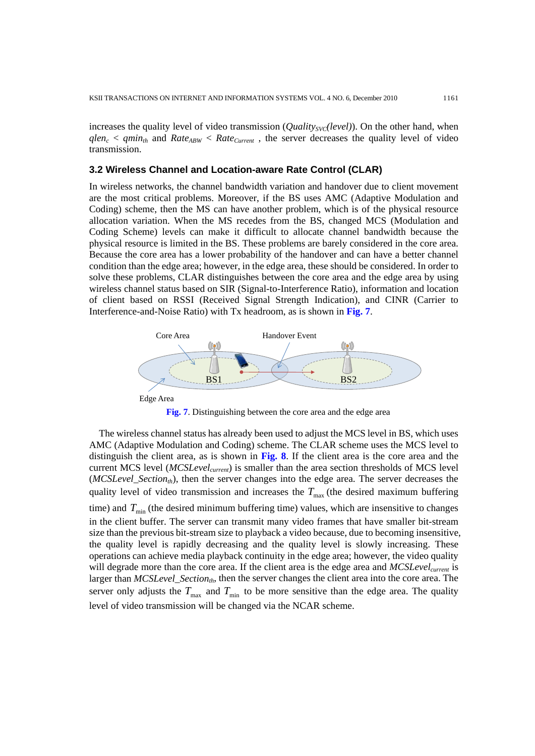increases the quality level of video transmission (*Quality<sub>SVC</sub>*(level)). On the other hand, when  $qlen_c < qmin_{th}$  and  $Rate_{ABW} < Rate_{Current}$ , the server decreases the quality level of video transmission.

## **3.2 Wireless Channel and Location-aware Rate Control (CLAR)**

In wireless networks, the channel bandwidth variation and handover due to client movement are the most critical problems. Moreover, if the BS uses AMC (Adaptive Modulation and Coding) scheme, then the MS can have another problem, which is of the physical resource allocation variation. When the MS recedes from the BS, changed MCS (Modulation and Coding Scheme) levels can make it difficult to allocate channel bandwidth because the physical resource is limited in the BS. These problems are barely considered in the core area. Because the core area has a lower probability of the handover and can have a better channel condition than the edge area; however, in the edge area, these should be considered. In order to solve these problems, CLAR distinguishes between the core area and the edge area by using wireless channel status based on SIR (Signal-to-Interference Ratio), information and location of client based on RSSI (Received Signal Strength Indication), and CINR (Carrier to Interference-and-Noise Ratio) with Tx headroom, as is shown in **Fig. 7**.



**Fig. 7**. Distinguishing between the core area and the edge area

The wireless channel status has already been used to adjust the MCS level in BS, which uses AMC (Adaptive Modulation and Coding) scheme. The CLAR scheme uses the MCS level to distinguish the client area, as is shown in **Fig. 8**. If the client area is the core area and the current MCS level (*MCSLevelcurrent*) is smaller than the area section thresholds of MCS level (*MCSLevel\_Sectionth*), then the server changes into the edge area. The server decreases the quality level of video transmission and increases the  $T_{\text{max}}$  (the desired maximum buffering time) and  $T_{\text{min}}$  (the desired minimum buffering time) values, which are insensitive to changes in the client buffer. The server can transmit many video frames that have smaller bit-stream size than the previous bit-stream size to playback a video because, due to becoming insensitive, the quality level is rapidly decreasing and the quality level is slowly increasing. These operations can achieve media playback continuity in the edge area; however, the video quality will degrade more than the core area. If the client area is the edge area and *MCSLevel<sub>current</sub>* is larger than *MCSLevel\_Section<sub>th</sub>*, then the server changes the client area into the core area. The server only adjusts the  $T_{\text{max}}$  and  $T_{\text{min}}$  to be more sensitive than the edge area. The quality level of video transmission will be changed via the NCAR scheme.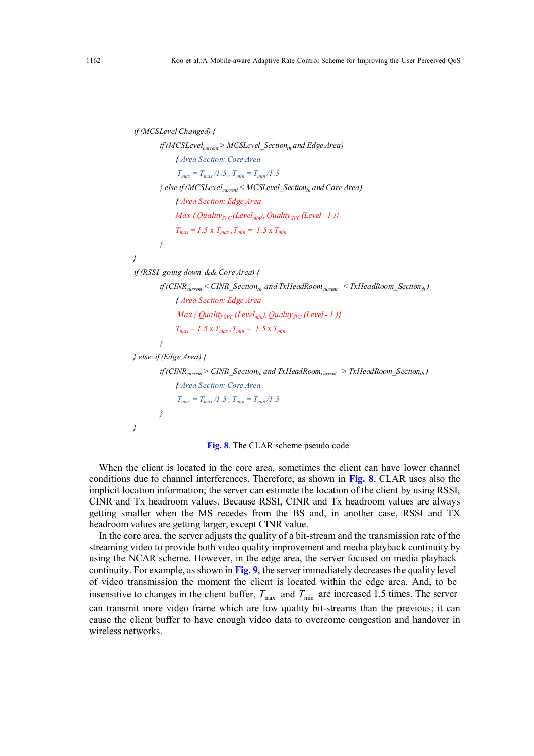```
if (MCSLevel Changed) {
           if (MCSLevel<sub>current</sub> > MCSLevel Section<sub>th</sub> and Edge Area)
                  { Area Section: Core Area
                   T_{\text{max}} = T_{\text{max}} / 1.5, T_{\text{min}} = T_{\text{min}} / 1.5} else if (MCSLevel<sub>current</sub> < MCSLevel_Section<sub>th</sub> and Core Area)
                  { Area Section: Edge Area
                  Max \{ Quality_{SVC} (Level_{min}), Quality_{SVC} (Level - 1) \}T_{max} = 1.5 \text{ x } T_{max}, T_{min} = 1.5 \text{ x } T_{min}}
}
if (RSSI going down && Core Area) {
           if (CINR<sub>current</sub> < CINR Section<sub>th</sub> and TxHeadRoom<sub>current</sub> < TxHeadRoom Section<sub>th</sub>)
                  { Area Section: Edge Area
                  Max { Quality<sub>SVC</sub> (Level<sub>min</sub>), Quality<sub>SVC</sub> (Level - 1 )}
                  T_{max} = 1.5 \text{ x } T_{max}, T_{min} = 1.5 \text{ x } T_{min}}
} else if (Edge Area) {
           if (CINR<sub>current</sub> > CINR Section<sub>th</sub> and TxHeadRoom<sub>current</sub> > TxHeadRoom Section<sub>th</sub>)
                  { Area Section: Core Area
                  T_{max} = T_{max}/1.5, T_{min} = T_{min}/1.5}
}
```


When the client is located in the core area, sometimes the client can have lower channel conditions due to channel interferences. Therefore, as shown in Fig. 8, CLAR uses also the implicit location information; the server can estimate the location of the client by using RSSI, CINR and Tx headroom values. Because RSSI, CINR and Tx headroom values are always getting smaller when the MS recedes from the BS and, in another case, RSSI and TX headroom values are getting larger, except CINR value.

In the core area, the server adjusts the quality of a bit-stream and the transmission rate of the streaming video to provide both video quality improvement and media playback continuity by using the NCAR scheme. However, in the edge area, the server focused on media playback continuity. For example, as shown in Fig. 9, the server immediately decreases the quality level of video transmission the moment the client is located within the edge area. And, to be insensitive to changes in the client buffer,  $T_{\text{max}}$  and  $T_{\text{min}}$  are increased 1.5 times. The server can transmit more video frame which are low quality bit-streams than the previous; it can cause the client buffer to have enough video data to overcome congestion and handover in wireless networks.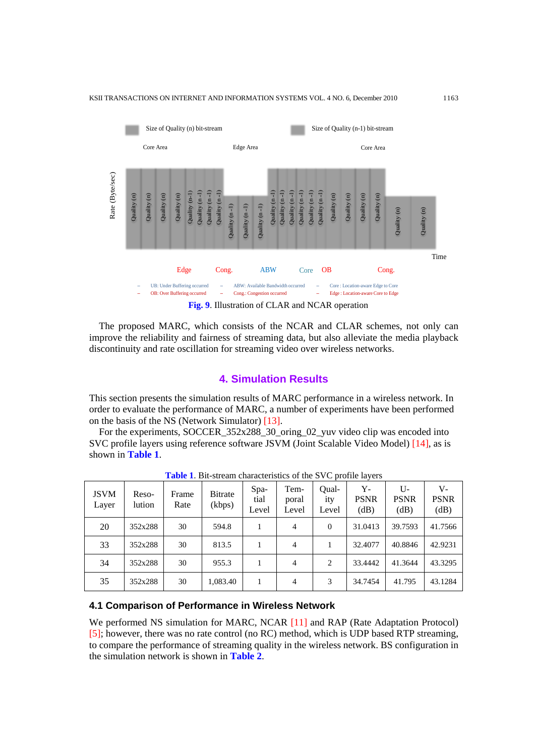



**Fig. 9**. Illustration of CLAR and NCAR operation

The proposed MARC, which consists of the NCAR and CLAR schemes, not only can improve the reliability and fairness of streaming data, but also alleviate the media playback discontinuity and rate oscillation for streaming video over wireless networks.

## **4. Simulation Results**

This section presents the simulation results of MARC performance in a wireless network. In order to evaluate the performance of MARC, a number of experiments have been performed on the basis of the NS (Network Simulator) [13].

For the experiments, SOCCER\_352x288\_30\_oring\_02\_yuv video clip was encoded into SVC profile layers using reference software JSVM (Joint Scalable Video Model) [14], as is shown in **Table 1**.

| <b>JSVM</b><br>Layer | Reso-<br>lution | Frame<br>Rate | Bitrate<br>(kbps) | Spa-<br>tial<br>Level | Tem-<br>poral<br>Level | Oual-<br>ity<br>Level | Y-<br><b>PSNR</b><br>(dB) | $U$ -<br><b>PSNR</b><br>(dB) | V-<br><b>PSNR</b><br>(dB) |
|----------------------|-----------------|---------------|-------------------|-----------------------|------------------------|-----------------------|---------------------------|------------------------------|---------------------------|
| 20                   | 352x288         | 30            | 594.8             |                       | $\overline{4}$         | $\theta$              | 31.0413                   | 39.7593                      | 41.7566                   |
| 33                   | 352x288         | 30            | 813.5             |                       | 4                      |                       | 32.4077                   | 40.8846                      | 42.9231                   |
| 34                   | 352x288         | 30            | 955.3             |                       | 4                      | 2                     | 33.4442                   | 41.3644                      | 43.3295                   |
| 35                   | 352x288         | 30            | 1,083.40          |                       | $\overline{4}$         | 3                     | 34.7454                   | 41.795                       | 43.1284                   |

**Table 1**. Bit-stream characteristics of the SVC profile layers

# **4.1 Comparison of Performance in Wireless Network**

We performed NS simulation for MARC, NCAR [11] and RAP (Rate Adaptation Protocol) [5]; however, there was no rate control (no RC) method, which is UDP based RTP streaming, to compare the performance of streaming quality in the wireless network. BS configuration in the simulation network is shown in **Table 2**.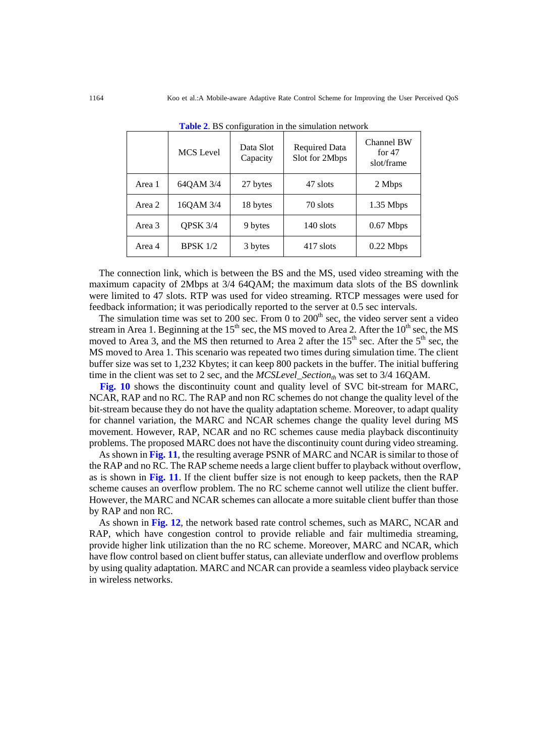|        | <b>MCS</b> Level | Data Slot<br>Capacity | <b>Required Data</b><br>Slot for 2Mbps | Channel BW<br>for $47$<br>slot/frame |
|--------|------------------|-----------------------|----------------------------------------|--------------------------------------|
| Area 1 | 640AM 3/4        | 27 bytes              | 47 slots                               | 2 Mbps                               |
| Area 2 | 16QAM 3/4        | 18 bytes              | 70 slots                               | $1.35$ Mbps                          |
| Area 3 | QPSK 3/4         | 9 bytes               | 140 slots                              | $0.67$ Mbps                          |
| Area 4 | <b>BPSK 1/2</b>  | 3 bytes               | 417 slots                              | $0.22$ Mbps                          |

**Table 2**. BS configuration in the simulation network

The connection link, which is between the BS and the MS, used video streaming with the maximum capacity of 2Mbps at 3/4 64QAM; the maximum data slots of the BS downlink were limited to 47 slots. RTP was used for video streaming. RTCP messages were used for feedback information; it was periodically reported to the server at 0.5 sec intervals.

The simulation time was set to 200 sec. From 0 to  $200<sup>th</sup>$  sec, the video server sent a video stream in Area 1. Beginning at the  $15<sup>th</sup>$  sec, the MS moved to Area 2. After the  $10<sup>th</sup>$  sec, the MS moved to Area 3, and the MS then returned to Area 2 after the  $15<sup>th</sup>$  sec. After the  $5<sup>th</sup>$  sec, the MS moved to Area 1. This scenario was repeated two times during simulation time. The client buffer size was set to 1,232 Kbytes; it can keep 800 packets in the buffer. The initial buffering time in the client was set to 2 sec, and the *MCSLevel\_Section<sub>th</sub>* was set to 3/4 16QAM.

**Fig. 10** shows the discontinuity count and quality level of SVC bit-stream for MARC, NCAR, RAP and no RC. The RAP and non RC schemes do not change the quality level of the bit-stream because they do not have the quality adaptation scheme. Moreover, to adapt quality for channel variation, the MARC and NCAR schemes change the quality level during MS movement. However, RAP, NCAR and no RC schemes cause media playback discontinuity problems. The proposed MARC does not have the discontinuity count during video streaming.

As shown in **Fig. 11**, the resulting average PSNR of MARC and NCAR is similar to those of the RAP and no RC. The RAP scheme needs a large client buffer to playback without overflow, as is shown in **Fig. 11**. If the client buffer size is not enough to keep packets, then the RAP scheme causes an overflow problem. The no RC scheme cannot well utilize the client buffer. However, the MARC and NCAR schemes can allocate a more suitable client buffer than those by RAP and non RC.

As shown in **Fig. 12**, the network based rate control schemes, such as MARC, NCAR and RAP, which have congestion control to provide reliable and fair multimedia streaming, provide higher link utilization than the no RC scheme. Moreover, MARC and NCAR, which have flow control based on client buffer status, can alleviate underflow and overflow problems by using quality adaptation. MARC and NCAR can provide a seamless video playback service in wireless networks.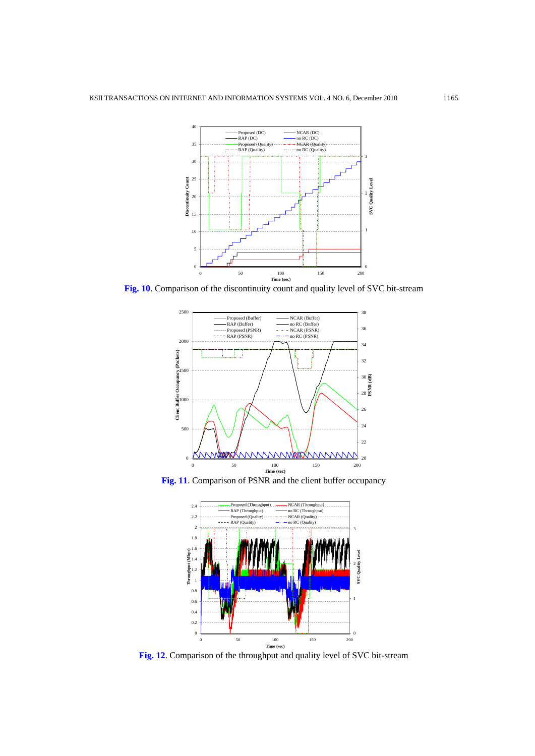

**Fig. 10**. Comparison of the discontinuity count and quality level of SVC bit-stream



**Fig. 11**. Comparison of PSNR and the client buffer occupancy



**Fig. 12**. Comparison of the throughput and quality level of SVC bit-stream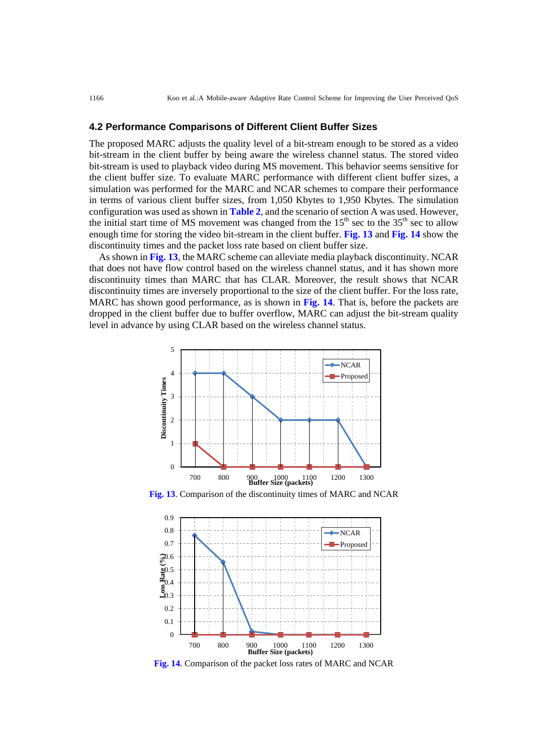### **4.2 Performance Comparisons of Different Client Buffer Sizes**

The proposed MARC adjusts the quality level of a bit-stream enough to be stored as a video bit-stream in the client buffer by being aware the wireless channel status. The stored video bit-stream is used to playback video during MS movement. This behavior seems sensitive for the client buffer size. To evaluate MARC performance with different client buffer sizes, a simulation was performed for the MARC and NCAR schemes to compare their performance in terms of various client buffer sizes, from 1,050 Kbytes to 1,950 Kbytes. The simulation configuration was used as shown in **Table 2**, and the scenario of section A was used. However, the initial start time of MS movement was changed from the  $15<sup>th</sup>$  sec to the  $35<sup>th</sup>$  sec to allow enough time for storing the video bit-stream in the client buffer. **Fig. 13** and **Fig. 14** show the discontinuity times and the packet loss rate based on client buffer size.

As shown in **Fig. 13**, the MARC scheme can alleviate media playback discontinuity. NCAR that does not have flow control based on the wireless channel status, and it has shown more discontinuity times than MARC that has CLAR. Moreover, the result shows that NCAR discontinuity times are inversely proportional to the size of the client buffer. For the loss rate, MARC has shown good performance, as is shown in **Fig. 14**. That is, before the packets are dropped in the client buffer due to buffer overflow, MARC can adjust the bit-stream quality level in advance by using CLAR based on the wireless channel status.



**Fig. 13**. Comparison of the discontinuity times of MARC and NCAR



**Fig. 14**. Comparison of the packet loss rates of MARC and NCAR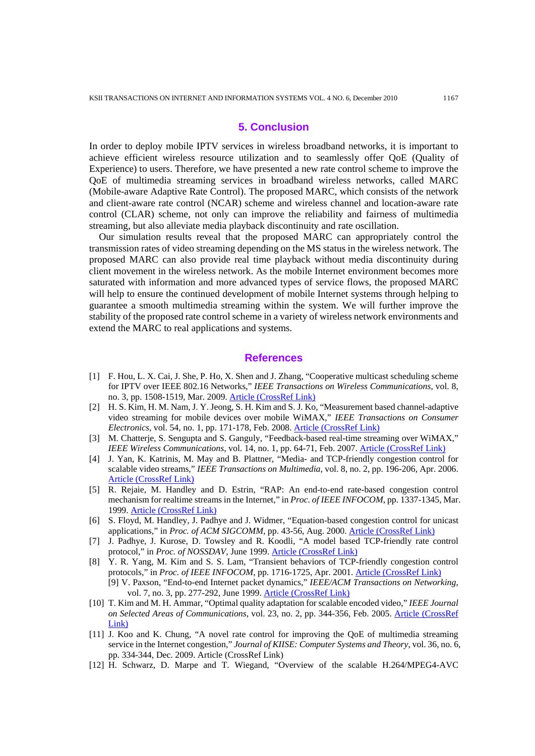## **5. Conclusion**

In order to deploy mobile IPTV services in wireless broadband networks, it is important to achieve efficient wireless resource utilization and to seamlessly offer QoE (Quality of Experience) to users. Therefore, we have presented a new rate control scheme to improve the QoE of multimedia streaming services in broadband wireless networks, called MARC (Mobile-aware Adaptive Rate Control). The proposed MARC, which consists of the network and client-aware rate control (NCAR) scheme and wireless channel and location-aware rate control (CLAR) scheme, not only can improve the reliability and fairness of multimedia streaming, but also alleviate media playback discontinuity and rate oscillation.

Our simulation results reveal that the proposed MARC can appropriately control the transmission rates of video streaming depending on the MS status in the wireless network. The proposed MARC can also provide real time playback without media discontinuity during client movement in the wireless network. As the mobile Internet environment becomes more saturated with information and more advanced types of service flows, the proposed MARC will help to ensure the continued development of mobile Internet systems through helping to guarantee a smooth multimedia streaming within the system. We will further improve the stability of the proposed rate control scheme in a variety of wireless network environments and extend the MARC to real applications and systems.

## **References**

- [1] F. Hou, L. X. Cai, J. She, P. Ho, X. Shen and J. Zhang, "Cooperative multicast scheduling scheme for IPTV over IEEE 802.16 Networks," *IEEE Transactions on Wireless Communications*, vol. 8, no. 3, pp. 1508-1519, Mar. 2009. [Article \(CrossRef Link\)](http://dx.doi.org/doi:10.1109/TWC.2009.080417)
- [2] H. S. Kim, H. M. Nam, J. Y. Jeong, S. H. Kim and S. J. Ko, "Measurement based channel-adaptive video streaming for mobile devices over mobile WiMAX," *IEEE Transactions on Consumer Electronics*, vol. 54, no. 1, pp. 171-178, Feb. 2008. [Article \(CrossRef Link\)](http://dx.doi.org/doi:10.1109/TCE.2008.4470040)
- [3] M. Chatterje, S. Sengupta and S. Ganguly, "Feedback-based real-time streaming over WiMAX," *IEEE Wireless Communications*, vol. 14, no. 1, pp. 64-71, Feb. 2007. [Article \(CrossRef Link\)](http://dx.doi.org/doi:10.1109/MWC.2007.314552)
- [4] J. Yan, K. Katrinis, M. May and B. Plattner, "Media- and TCP-friendly congestion control for scalable video streams," *IEEE Transactions on Multimedia*, vol. 8, no. 2, pp. 196-206, Apr. 2006. [Article \(CrossRef Link\)](http://dx.doi.org/doi:10.1109/TMM.2005.864265)
- [5] R. Rejaie, M. Handley and D. Estrin, "RAP: An end-to-end rate-based congestion control mechanism for realtime streams in the Internet," in *Proc. of IEEE INFOCOM*, pp. 1337-1345, Mar. 1999. [Article \(CrossRef Link\)](http://ieeexplore.ieee.org/xpl/freeabs_all.jsp?arnumber=752152)
- [6] S. Floyd, M. Handley, J. Padhye and J. Widmer, "Equation-based congestion control for unicast applications," in *Proc. of ACM SIGCOMM*, pp. 43-56, Aug. 2000. [Article \(CrossRef Link\)](http://portal.acm.org/citation.cfm?id=347059.347397)
- [7] J. Padhye, J. Kurose, D. Towsley and R. Koodli, "A model based TCP-friendly rate control protocol," in *Proc. of NOSSDAV*, June 1999. [Article \(CrossRef Link\)](http://citeseerx.ist.psu.edu/viewdoc/download?doi=10.1.1.43.2060&rep=rep1&type=pdf)
- [8] Y. R. Yang, M. Kim and S. S. Lam, "Transient behaviors of TCP-friendly congestion control protocols," in *Proc. of IEEE INFOCOM*, pp. 1716-1725, Apr. 2001. [Article \(CrossRef Link\)](http://linkinghub.elsevier.com/retrieve/pii/S1389128602003742) [9] V. Paxson, "End-to-end Internet packet dynamics," *IEEE/ACM Transactions on Networking*, vol. 7, no. 3, pp. 277-292, June 1999. [Article \(CrossRef Link\)](http://dx.doi.org/doi:10.1109/90.779192)
- [10] T. Kim and M. H. Ammar, "Optimal quality adaptation for scalable encoded video," *IEEE Journal on Selected Areas of Communications*, vol. 23, no. 2, pp. 344-356, Feb. 2005. [Article \(CrossRef](http://dx.doi.org/doi:10.1109/JSAC.2004.839390)  [Link\)](http://dx.doi.org/doi:10.1109/JSAC.2004.839390)
- [11] J. Koo and K. Chung, "A novel rate control for improving the QoE of multimedia streaming service in the Internet congestion," *Journal of KIISE: Computer Systems and Theory*, vol. 36, no. 6, pp. 334-344, Dec. 2009. Article (CrossRef Link)
- [12] H. Schwarz, D. Marpe and T. Wiegand, "Overview of the scalable H.264/MPEG4-AVC